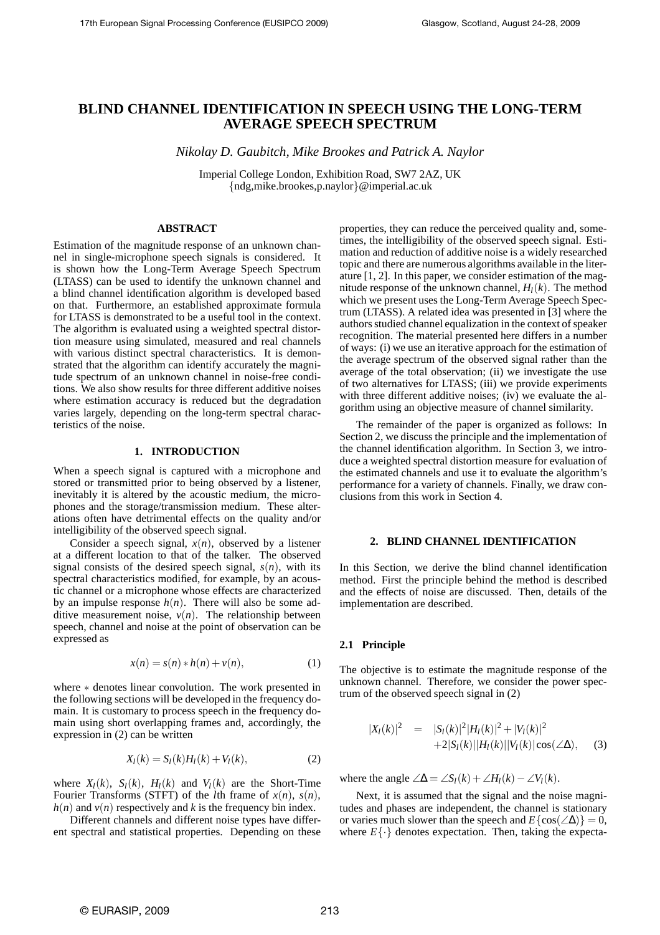# **BLIND CHANNEL IDENTIFICATION IN SPEECH USING THE LONG-TERM AVERAGE SPEECH SPECTRUM**

*Nikolay D. Gaubitch, Mike Brookes and Patrick A. Naylor*

Imperial College London, Exhibition Road, SW7 2AZ, UK {ndg,mike.brookes,p.naylor}@imperial.ac.uk

# **ABSTRACT**

Estimation of the magnitude response of an unknown channel in single-microphone speech signals is considered. It is shown how the Long-Term Average Speech Spectrum (LTASS) can be used to identify the unknown channel and a blind channel identification algorithm is developed based on that. Furthermore, an established approximate formula for LTASS is demonstrated to be a useful tool in the context. The algorithm is evaluated using a weighted spectral distortion measure using simulated, measured and real channels with various distinct spectral characteristics. It is demonstrated that the algorithm can identify accurately the magnitude spectrum of an unknown channel in noise-free conditions. We also show results for three different additive noises where estimation accuracy is reduced but the degradation varies largely, depending on the long-term spectral characteristics of the noise.

#### **1. INTRODUCTION**

When a speech signal is captured with a microphone and stored or transmitted prior to being observed by a listener, inevitably it is altered by the acoustic medium, the microphones and the storage/transmission medium. These alterations often have detrimental effects on the quality and/or intelligibility of the observed speech signal.

Consider a speech signal,  $x(n)$ , observed by a listener at a different location to that of the talker. The observed signal consists of the desired speech signal,  $s(n)$ , with its spectral characteristics modified, for example, by an acoustic channel or a microphone whose effects are characterized by an impulse response  $h(n)$ . There will also be some additive measurement noise,  $v(n)$ . The relationship between speech, channel and noise at the point of observation can be expressed as

$$
x(n) = s(n) * h(n) + v(n), \tag{1}
$$

where ∗ denotes linear convolution. The work presented in the following sections will be developed in the frequency domain. It is customary to process speech in the frequency domain using short overlapping frames and, accordingly, the expression in (2) can be written

$$
X_l(k) = S_l(k)H_l(k) + V_l(k),
$$
 (2)

where  $X_l(k)$ ,  $S_l(k)$ ,  $H_l(k)$  and  $V_l(k)$  are the Short-Time Fourier Transforms (STFT) of the *l*th frame of  $x(n)$ ,  $s(n)$ ,  $h(n)$  and  $v(n)$  respectively and *k* is the frequency bin index.

Different channels and different noise types have different spectral and statistical properties. Depending on these properties, they can reduce the perceived quality and, sometimes, the intelligibility of the observed speech signal. Estimation and reduction of additive noise is a widely researched topic and there are numerous algorithms available in the literature [1, 2]. In this paper, we consider estimation of the magnitude response of the unknown channel,  $H_l(k)$ . The method which we present uses the Long-Term Average Speech Spectrum (LTASS). A related idea was presented in [3] where the authors studied channel equalization in the context of speaker recognition. The material presented here differs in a number of ways: (i) we use an iterative approach for the estimation of the average spectrum of the observed signal rather than the average of the total observation; (ii) we investigate the use of two alternatives for LTASS; (iii) we provide experiments with three different additive noises;  $(iv)$  we evaluate the algorithm using an objective measure of channel similarity.

The remainder of the paper is organized as follows: In Section 2, we discuss the principle and the implementation of the channel identification algorithm. In Section 3, we introduce a weighted spectral distortion measure for evaluation of the estimated channels and use it to evaluate the algorithm's performance for a variety of channels. Finally, we draw conclusions from this work in Section 4.

#### **2. BLIND CHANNEL IDENTIFICATION**

In this Section, we derive the blind channel identification method. First the principle behind the method is described and the effects of noise are discussed. Then, details of the implementation are described.

#### **2.1 Principle**

The objective is to estimate the magnitude response of the unknown channel. Therefore, we consider the power spectrum of the observed speech signal in (2)

$$
|X_{l}(k)|^{2} = |S_{l}(k)|^{2}|H_{l}(k)|^{2} + |V_{l}(k)|^{2} + 2|S_{l}(k)||H_{l}(k)||V_{l}(k)|\cos(\angle\Delta), \quad (3)
$$

where the angle  $\angle \Delta = \angle S_l(k) + \angle H_l(k) - \angle V_l(k)$ .

Next, it is assumed that the signal and the noise magnitudes and phases are independent, the channel is stationary or varies much slower than the speech and  $E\{\cos(\angle\Delta)\}=0$ , where  $E\{\cdot\}$  denotes expectation. Then, taking the expecta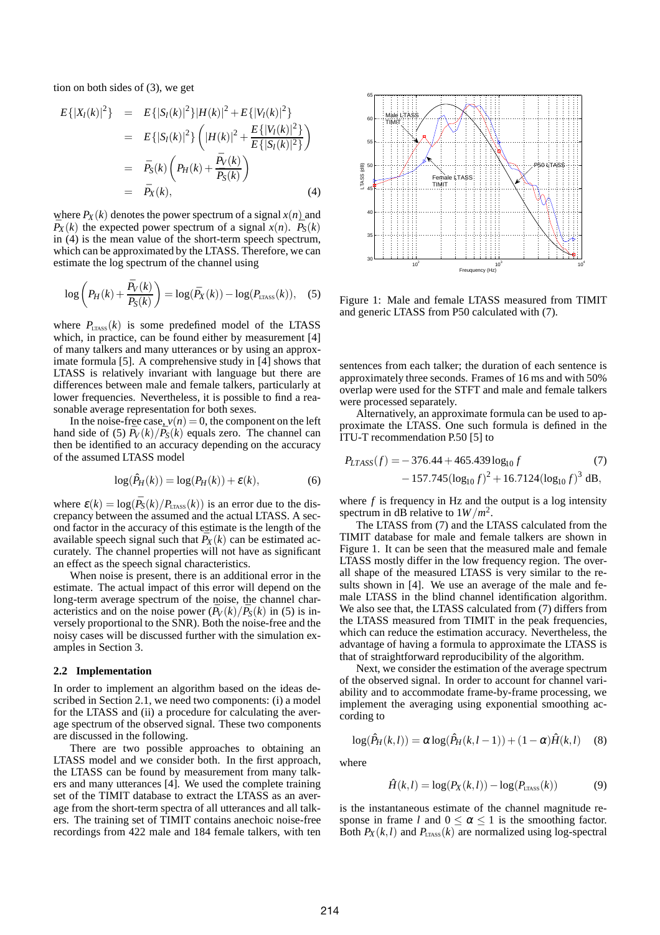tion on both sides of (3), we get

$$
E\{|X_{l}(k)|^{2}\} = E\{|S_{l}(k)|^{2}\}|H(k)|^{2} + E\{|V_{l}(k)|^{2}\}\
$$
  
\n
$$
= E\{|S_{l}(k)|^{2}\}\left(|H(k)|^{2} + \frac{E\{|V_{l}(k)|^{2}\}}{E\{|S_{l}(k)|^{2}\}}\right)
$$
  
\n
$$
= \bar{P}_{S}(k)\left(P_{H}(k) + \frac{\bar{P}_{V}(k)}{\bar{P}_{S}(k)}\right)
$$
  
\n
$$
= \bar{P}_{X}(k), \qquad (4)
$$

where  $P_X(k)$  denotes the power spectrum of a signal  $x(n)$  and  $\overline{P}_X(k)$  the expected power spectrum of a signal  $x(n)$ .  $\overline{P}_S(k)$ in (4) is the mean value of the short-term speech spectrum, which can be approximated by the LTASS. Therefore, we can estimate the log spectrum of the channel using

$$
\log\left(P_H(k) + \frac{\bar{P}_V(k)}{\bar{P}_S(k)}\right) = \log(\bar{P}_X(k)) - \log(P_{\text{LTASS}}(k)), \quad (5)
$$

where  $P_{LTASS}(k)$  is some predefined model of the LTASS which, in practice, can be found either by measurement [4] of many talkers and many utterances or by using an approximate formula [5]. A comprehensive study in [4] shows that LTASS is relatively invariant with language but there are differences between male and female talkers, particularly at lower frequencies. Nevertheless, it is possible to find a reasonable average representation for both sexes.

In the noise-free case,  $v(n) = 0$ , the component on the left hand side of (5)  $\bar{P}_V(k)/\bar{P}_S(k)$  equals zero. The channel can then be identified to an accuracy depending on the accuracy of the assumed LTASS model

$$
\log(\hat{P}_H(k)) = \log(P_H(k)) + \varepsilon(k),\tag{6}
$$

where  $\varepsilon(k) = \log(\bar{P}_S(k)/P_{\text{LTASS}}(k))$  is an error due to the discrepancy between the assumed and the actual LTASS. A second factor in the accuracy of this estimate is the length of the available speech signal such that  $\bar{P}_X(k)$  can be estimated accurately. The channel properties will not have as significant an effect as the speech signal characteristics.

When noise is present, there is an additional error in the estimate. The actual impact of this error will depend on the long-term average spectrum of the noise, the channel characteristics and on the noise power  $(\bar{P}_V(k)/\bar{P}_S(k))$  in (5) is inversely proportional to the SNR). Both the noise-free and the noisy cases will be discussed further with the simulation examples in Section 3.

#### **2.2 Implementation**

In order to implement an algorithm based on the ideas described in Section 2.1, we need two components: (i) a model for the LTASS and (ii) a procedure for calculating the average spectrum of the observed signal. These two components are discussed in the following.

There are two possible approaches to obtaining an LTASS model and we consider both. In the first approach, the LTASS can be found by measurement from many talkers and many utterances [4]. We used the complete training set of the TIMIT database to extract the LTASS as an average from the short-term spectra of all utterances and all talkers. The training set of TIMIT contains anechoic noise-free recordings from 422 male and 184 female talkers, with ten



Figure 1: Male and female LTASS measured from TIMIT and generic LTASS from P50 calculated with (7).

sentences from each talker; the duration of each sentence is approximately three seconds. Frames of 16 ms and with 50% overlap were used for the STFT and male and female talkers were processed separately.

Alternatively, an approximate formula can be used to approximate the LTASS. One such formula is defined in the ITU-T recommendation P.50 [5] to

$$
P_{LTASS}(f) = -376.44 + 465.439 \log_{10} f \tag{7}
$$
  
-157.745 $(\log_{10} f)^2 + 16.7124 (\log_{10} f)^3$  dB,

where *f* is frequency in Hz and the output is a log intensity spectrum in dB relative to  $1W/m^2$ .

The LTASS from (7) and the LTASS calculated from the TIMIT database for male and female talkers are shown in Figure 1. It can be seen that the measured male and female LTASS mostly differ in the low frequency region. The overall shape of the measured LTASS is very similar to the results shown in [4]. We use an average of the male and female LTASS in the blind channel identification algorithm. We also see that, the LTASS calculated from (7) differs from the LTASS measured from TIMIT in the peak frequencies, which can reduce the estimation accuracy. Nevertheless, the advantage of having a formula to approximate the LTASS is that of straightforward reproducibility of the algorithm.

Next, we consider the estimation of the average spectrum of the observed signal. In order to account for channel variability and to accommodate frame-by-frame processing, we implement the averaging using exponential smoothing according to

$$
\log(\hat{P}_H(k,l)) = \alpha \log(\hat{P}_H(k,l-1)) + (1-\alpha)\hat{H}(k,l) \quad (8)
$$

where

$$
\hat{H}(k,l) = \log(P_X(k,l)) - \log(P_{\text{LTASS}}(k))\tag{9}
$$

is the instantaneous estimate of the channel magnitude response in frame *l* and  $0 \le \alpha \le 1$  is the smoothing factor. Both  $P_X(k, l)$  and  $P_{LTASS}(k)$  are normalized using log-spectral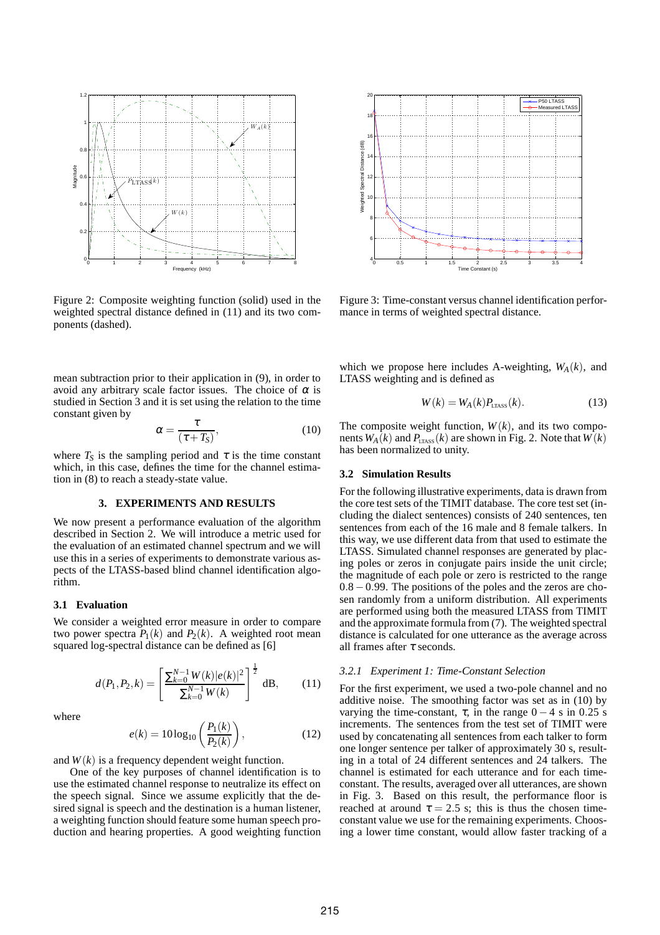

Figure 2: Composite weighting function (solid) used in the weighted spectral distance defined in (11) and its two components (dashed).

mean subtraction prior to their application in (9), in order to avoid any arbitrary scale factor issues. The choice of  $\alpha$  is studied in Section 3 and it is set using the relation to the time constant given by

$$
\alpha = \frac{\tau}{(\tau + T_S)},\tag{10}
$$

where  $T_S$  is the sampling period and  $\tau$  is the time constant which, in this case, defines the time for the channel estimation in (8) to reach a steady-state value.

# **3. EXPERIMENTS AND RESULTS**

We now present a performance evaluation of the algorithm described in Section 2. We will introduce a metric used for the evaluation of an estimated channel spectrum and we will use this in a series of experiments to demonstrate various aspects of the LTASS-based blind channel identification algorithm.

## **3.1 Evaluation**

We consider a weighted error measure in order to compare two power spectra  $P_1(k)$  and  $P_2(k)$ . A weighted root mean squared log-spectral distance can be defined as [6]

$$
d(P_1, P_2, k) = \left[\frac{\sum_{k=0}^{N-1} W(k) |e(k)|^2}{\sum_{k=0}^{N-1} W(k)}\right]^{\frac{1}{2}} d\mathbf{B},\qquad(11)
$$

where

$$
e(k) = 10\log_{10}\left(\frac{P_1(k)}{P_2(k)}\right),\tag{12}
$$

and  $W(k)$  is a frequency dependent weight function.

One of the key purposes of channel identification is to use the estimated channel response to neutralize its effect on the speech signal. Since we assume explicitly that the desired signal is speech and the destination is a human listener, a weighting function should feature some human speech production and hearing properties. A good weighting function



Figure 3: Time-constant versus channel identification performance in terms of weighted spectral distance.

which we propose here includes A-weighting,  $W_A(k)$ , and LTASS weighting and is defined as

$$
W(k) = W_A(k)P_{\text{LTASS}}(k). \tag{13}
$$

The composite weight function,  $W(k)$ , and its two components  $W_A(k)$  and  $P_{LTASS}(k)$  are shown in Fig. 2. Note that  $W(k)$ has been normalized to unity.

### **3.2 Simulation Results**

For the following illustrative experiments, data is drawn from the core test sets of the TIMIT database. The core test set (including the dialect sentences) consists of 240 sentences, ten sentences from each of the 16 male and 8 female talkers. In this way, we use different data from that used to estimate the LTASS. Simulated channel responses are generated by placing poles or zeros in conjugate pairs inside the unit circle; the magnitude of each pole or zero is restricted to the range 0.8−0.99. The positions of the poles and the zeros are chosen randomly from a uniform distribution. All experiments are performed using both the measured LTASS from TIMIT and the approximate formula from (7). The weighted spectral distance is calculated for one utterance as the average across all frames after  $\tau$  seconds.

#### *3.2.1 Experiment 1: Time-Constant Selection*

For the first experiment, we used a two-pole channel and no additive noise. The smoothing factor was set as in (10) by varying the time-constant,  $\tau$ , in the range  $0 - 4$  s in 0.25 s increments. The sentences from the test set of TIMIT were used by concatenating all sentences from each talker to form one longer sentence per talker of approximately 30 s, resulting in a total of 24 different sentences and 24 talkers. The channel is estimated for each utterance and for each timeconstant. The results, averaged over all utterances, are shown in Fig. 3. Based on this result, the performance floor is reached at around  $\tau = 2.5$  s; this is thus the chosen timeconstant value we use for the remaining experiments. Choosing a lower time constant, would allow faster tracking of a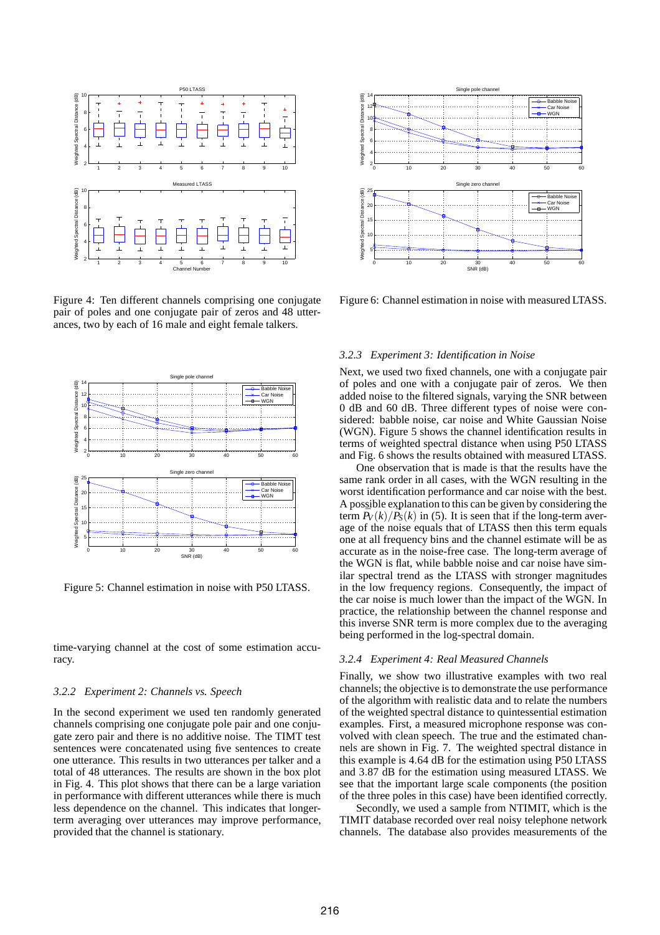

Figure 4: Ten different channels comprising one conjugate pair of poles and one conjugate pair of zeros and 48 utterances, two by each of 16 male and eight female talkers.



Figure 5: Channel estimation in noise with P50 LTASS.

time-varying channel at the cost of some estimation accuracy.

### *3.2.2 Experiment 2: Channels vs. Speech*

In the second experiment we used ten randomly generated channels comprising one conjugate pole pair and one conjugate zero pair and there is no additive noise. The TIMT test sentences were concatenated using five sentences to create one utterance. This results in two utterances per talker and a total of 48 utterances. The results are shown in the box plot in Fig. 4. This plot shows that there can be a large variation in performance with different utterances while there is much less dependence on the channel. This indicates that longerterm averaging over utterances may improve performance, provided that the channel is stationary.



Figure 6: Channel estimation in noise with measured LTASS.

# *3.2.3 Experiment 3: Identification in Noise*

Next, we used two fixed channels, one with a conjugate pair of poles and one with a conjugate pair of zeros. We then added noise to the filtered signals, varying the SNR between 0 dB and 60 dB. Three different types of noise were considered: babble noise, car noise and White Gaussian Noise (WGN). Figure 5 shows the channel identification results in terms of weighted spectral distance when using P50 LTASS and Fig. 6 shows the results obtained with measured LTASS.

One observation that is made is that the results have the same rank order in all cases, with the WGN resulting in the worst identification performance and car noise with the best. A possible explanation to this can be given by considering the term  $\bar{P}_V(k)/\bar{P}_S(k)$  in (5). It is seen that if the long-term average of the noise equals that of LTASS then this term equals one at all frequency bins and the channel estimate will be as accurate as in the noise-free case. The long-term average of the WGN is flat, while babble noise and car noise have similar spectral trend as the LTASS with stronger magnitudes in the low frequency regions. Consequently, the impact of the car noise is much lower than the impact of the WGN. In practice, the relationship between the channel response and this inverse SNR term is more complex due to the averaging being performed in the log-spectral domain.

# *3.2.4 Experiment 4: Real Measured Channels*

Finally, we show two illustrative examples with two real channels; the objective is to demonstrate the use performance of the algorithm with realistic data and to relate the numbers of the weighted spectral distance to quintessential estimation examples. First, a measured microphone response was convolved with clean speech. The true and the estimated channels are shown in Fig. 7. The weighted spectral distance in this example is 4.64 dB for the estimation using P50 LTASS and 3.87 dB for the estimation using measured LTASS. We see that the important large scale components (the position of the three poles in this case) have been identified correctly.

Secondly, we used a sample from NTIMIT, which is the TIMIT database recorded over real noisy telephone network channels. The database also provides measurements of the